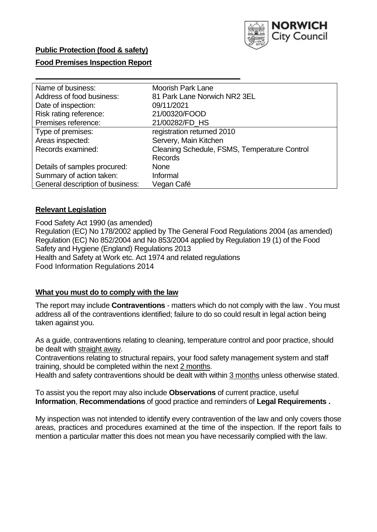

### **Public Protection (food & safety)**

### **Food Premises Inspection Report**

| Name of business:                | <b>Moorish Park Lane</b>                     |
|----------------------------------|----------------------------------------------|
| Address of food business:        | 81 Park Lane Norwich NR2 3EL                 |
| Date of inspection:              | 09/11/2021                                   |
| Risk rating reference:           | 21/00320/FOOD                                |
| Premises reference:              | 21/00282/FD_HS                               |
| Type of premises:                | registration returned 2010                   |
| Areas inspected:                 | Servery, Main Kitchen                        |
| Records examined:                | Cleaning Schedule, FSMS, Temperature Control |
|                                  | <b>Records</b>                               |
| Details of samples procured:     | <b>None</b>                                  |
| Summary of action taken:         | Informal                                     |
| General description of business: | Vegan Café                                   |

### **Relevant Legislation**

 Food Safety Act 1990 (as amended) Regulation (EC) No 178/2002 applied by The General Food Regulations 2004 (as amended) Regulation (EC) No 852/2004 and No 853/2004 applied by Regulation 19 (1) of the Food Safety and Hygiene (England) Regulations 2013 Health and Safety at Work etc. Act 1974 and related regulations Food Information Regulations 2014

### **What you must do to comply with the law**

 The report may include **Contraventions** - matters which do not comply with the law . You must address all of the contraventions identified; failure to do so could result in legal action being taken against you.

 As a guide, contraventions relating to cleaning, temperature control and poor practice, should be dealt with straight away.

 Contraventions relating to structural repairs, your food safety management system and staff training, should be completed within the next 2 months.

Health and safety contraventions should be dealt with within 3 months unless otherwise stated.

 To assist you the report may also include **Observations** of current practice, useful **Information**, **Recommendations** of good practice and reminders of **Legal Requirements .** 

 My inspection was not intended to identify every contravention of the law and only covers those areas, practices and procedures examined at the time of the inspection. If the report fails to mention a particular matter this does not mean you have necessarily complied with the law.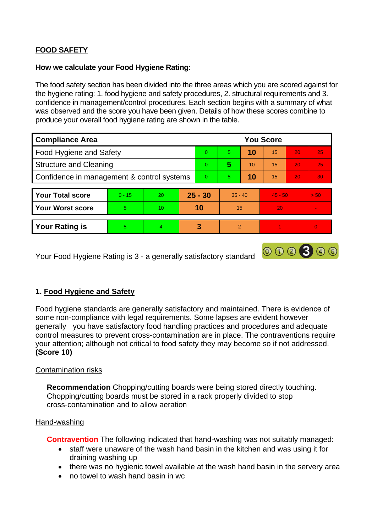# **FOOD SAFETY**

### **How we calculate your Food Hygiene Rating:**

 The food safety section has been divided into the three areas which you are scored against for the hygiene rating: 1. food hygiene and safety procedures, 2. structural requirements and 3. confidence in management/control procedures. Each section begins with a summary of what was observed and the score you have been given. Details of how these scores combine to produce your overall food hygiene rating are shown in the table.

| <b>Compliance Area</b>                     |          |    |           | <b>You Score</b> |               |    |           |                 |                |  |  |
|--------------------------------------------|----------|----|-----------|------------------|---------------|----|-----------|-----------------|----------------|--|--|
| Food Hygiene and Safety                    |          |    |           | $\Omega$         | 5             | 10 | 15        | 20              | 25             |  |  |
| <b>Structure and Cleaning</b>              |          |    | $\Omega$  | 5                | 10            | 15 | 20        | 25              |                |  |  |
| Confidence in management & control systems |          |    | $\Omega$  | 5                | 10            | 15 | 20        | 30 <sup>°</sup> |                |  |  |
|                                            |          |    |           |                  |               |    |           |                 |                |  |  |
| <b>Your Total score</b>                    | $0 - 15$ | 20 | $25 - 30$ |                  | $35 - 40$     |    | $45 - 50$ |                 | > 50           |  |  |
| <b>Your Worst score</b>                    | 5        | 10 | 10        |                  | 15            |    | 20        |                 |                |  |  |
|                                            |          |    |           |                  |               |    |           |                 |                |  |  |
| <b>Your Rating is</b>                      | 5        | 4  |           | 3                | $\mathcal{P}$ |    |           |                 | $\overline{0}$ |  |  |

Your Food Hygiene Rating is 3 - a generally satisfactory standard

## **1. Food Hygiene and Safety**

 generally you have satisfactory food handling practices and procedures and adequate Food hygiene standards are generally satisfactory and maintained. There is evidence of some non-compliance with legal requirements. Some lapses are evident however control measures to prevent cross-contamination are in place. The contraventions require your attention; although not critical to food safety they may become so if not addressed. **(Score 10)** 

000300

### Contamination risks

 Chopping/cutting boards must be stored in a rack properly divided to stop **Recommendation** Chopping/cutting boards were being stored directly touching. cross-contamination and to allow aeration

#### Hand-washing

**Contravention** The following indicated that hand-washing was not suitably managed:

- • staff were unaware of the wash hand basin in the kitchen and was using it for draining washing up
- there was no hygienic towel available at the wash hand basin in the servery area
- no towel to wash hand basin in wc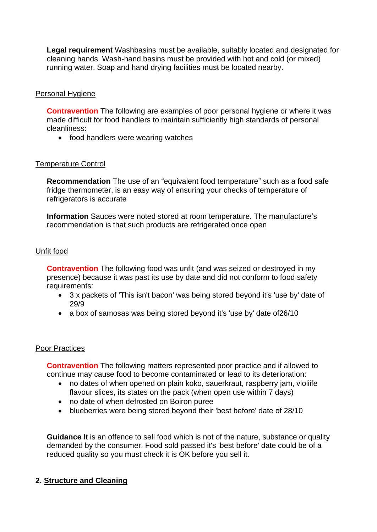**Legal requirement** Washbasins must be available, suitably located and designated for cleaning hands. Wash-hand basins must be provided with hot and cold (or mixed) running water. Soap and hand drying facilities must be located nearby.

## Personal Hygiene

 made difficult for food handlers to maintain sufficiently high standards of personal **Contravention** The following are examples of poor personal hygiene or where it was cleanliness:

• food handlers were wearing watches

## Temperature Control

Recommendation The use of an "equivalent food temperature" such as a food safe fridge thermometer, is an easy way of ensuring your checks of temperature of refrigerators is accurate

**Information** Sauces were noted stored at room temperature. The manufacture's recommendation is that such products are refrigerated once open

### Unfit food

**Contravention** The following food was unfit (and was seized or destroyed in my presence) because it was past its use by date and did not conform to food safety requirements:

- 3 x packets of 'This isn't bacon' was being stored beyond it's 'use by' date of 29/9
- a box of samosas was being stored beyond it's 'use by' date of 26/10

### Poor Practices

 **Contravention** The following matters represented poor practice and if allowed to continue may cause food to become contaminated or lead to its deterioration:

- flavour slices, its states on the pack (when open use within 7 days) • no dates of when opened on plain koko, sauerkraut, raspberry jam, violiife
- no date of when defrosted on Boiron puree
- blueberries were being stored beyond their 'best before' date of 28/10

**Guidance** It is an offence to sell food which is not of the nature, substance or quality demanded by the consumer. Food sold passed it's 'best before' date could be of a reduced quality so you must check it is OK before you sell it.

## **2. Structure and Cleaning**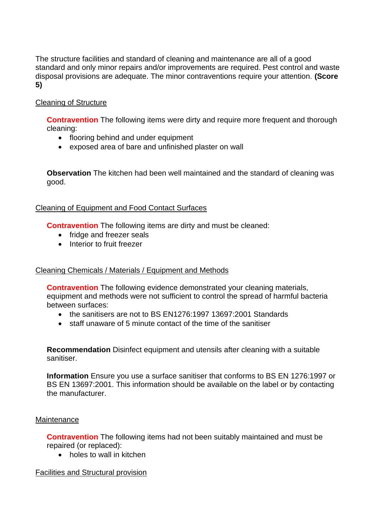The structure facilities and standard of cleaning and maintenance are all of a good standard and only minor repairs and/or improvements are required. Pest control and waste disposal provisions are adequate. The minor contraventions require your attention. **(Score 5)** 

## Cleaning of Structure

**Contravention** The following items were dirty and require more frequent and thorough cleaning:

- flooring behind and under equipment
- exposed area of bare and unfinished plaster on wall

 **Observation** The kitchen had been well maintained and the standard of cleaning was good.

### Cleaning of Equipment and Food Contact Surfaces

**Contravention** The following items are dirty and must be cleaned:

- fridge and freezer seals
- Interior to fruit freezer

### Cleaning Chemicals / Materials / Equipment and Methods

**Contravention** The following evidence demonstrated your cleaning materials, equipment and methods were not sufficient to control the spread of harmful bacteria between surfaces:

- the sanitisers are not to BS EN1276:1997 13697:2001 Standards
- staff unaware of 5 minute contact of the time of the sanitiser

**Recommendation** Disinfect equipment and utensils after cleaning with a suitable sanitiser.

**Information** Ensure you use a surface sanitiser that conforms to BS EN 1276:1997 or BS EN 13697:2001. This information should be available on the label or by contacting the manufacturer.

#### **Maintenance**

 **Contravention** The following items had not been suitably maintained and must be repaired (or replaced):

• holes to wall in kitchen

Facilities and Structural provision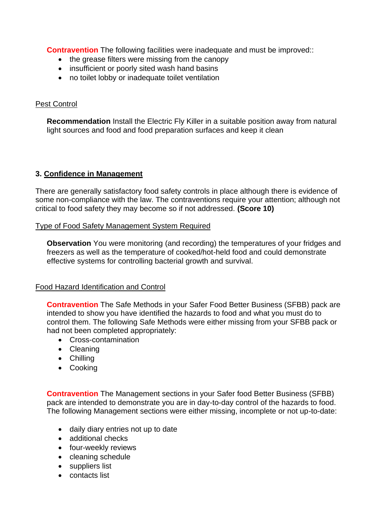**Contravention** The following facilities were inadequate and must be improved::

- the grease filters were missing from the canopy
- insufficient or poorly sited wash hand basins
- no toilet lobby or inadequate toilet ventilation

### Pest Control

 light sources and food and food preparation surfaces and keep it clean **Recommendation** Install the Electric Fly Killer in a suitable position away from natural

### **3. Confidence in Management**

 There are generally satisfactory food safety controls in place although there is evidence of some non-compliance with the law. The contraventions require your attention; although not critical to food safety they may become so if not addressed. **(Score 10)** 

#### Type of Food Safety Management System Required

**Observation** You were monitoring (and recording) the temperatures of your fridges and freezers as well as the temperature of cooked/hot-held food and could demonstrate effective systems for controlling bacterial growth and survival.

### Food Hazard Identification and Control

 intended to show you have identified the hazards to food and what you must do to **Contravention** The Safe Methods in your Safer Food Better Business (SFBB) pack are control them. The following Safe Methods were either missing from your SFBB pack or had not been completed appropriately:

- Cross-contamination
- Cleaning
- Chilling
- Cooking

**Contravention** The Management sections in your Safer food Better Business (SFBB) pack are intended to demonstrate you are in day-to-day control of the hazards to food. The following Management sections were either missing, incomplete or not up-to-date:

- daily diary entries not up to date
- additional checks
- four-weekly reviews
- cleaning schedule
- suppliers list
- contacts list